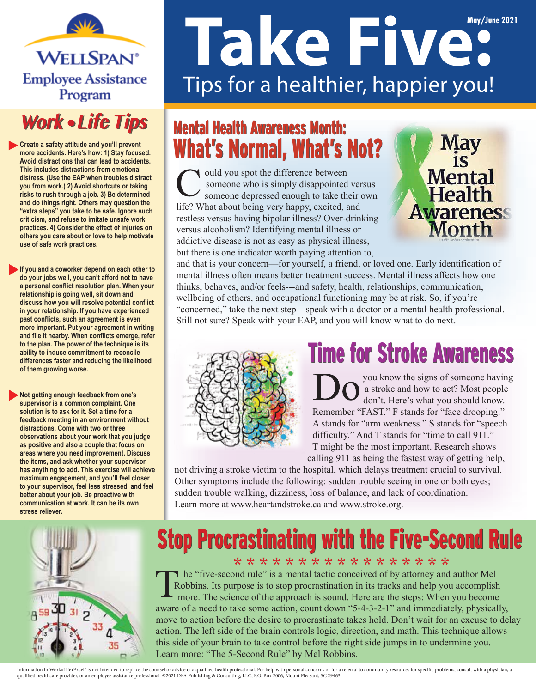**WELLSPAN**<sup>®</sup> **Employee Assistance** Program

### **Work • Life Tips**

**Create a safety attitude and you'll prevent more accidents. Here's how: 1) Stay focused. Avoid distractions that can lead to accidents. This includes distractions from emotional distress. (Use the EAP when troubles distract you from work.) 2) Avoid shortcuts or taking risks to rush through a job. 3) Be determined and do things right. Others may question the "extra steps" you take to be safe. Ignore such criticism, and refuse to imitate unsafe work practices. 4) Consider the effect of injuries on others you care about or love to help motivate use of safe work practices.**

**If you and a coworker depend on each other to do your jobs well, you can't afford not to have a personal conflict resolution plan. When your relationship is going well, sit down and discuss how you will resolve potential conflict in your relationship. If you have experienced past conflicts, such an agreement is even more important. Put your agreement in writing and file it nearby. When conflicts emerge, refer to the plan. The power of the technique is its ability to induce commitment to reconcile differences faster and reducing the likelihood of them growing worse.**

**Not getting enough feedback from one's supervisor is a common complaint. One solution is to ask for it. Set a time for a feedback meeting in an environment without distractions. Come with two or three observations about your work that you judge as positive and also a couple that focus on areas where you need improvement. Discuss the items, and ask whether your supervisor has anything to add. This exercise will achieve maximum engagement, and you'll feel closer to your supervisor, feel less stressed, and feel better about your job. Be proactive with communication at work. It can be its own stress reliever.**

# **May 2021 May/June 2021 Take Five:** Tips for a healthier, happier you!

### Mental Health Awareness Month: Mental Health Awareness Month: What's Normal, What's Not?

uld you spot the difference between someone who is simply disappointed versus someone depressed enough to take their own life? What about being very happy, excited, and restless versus having bipolar illness? Over-drinking versus alcoholism? Identifying mental illness or addictive disease is not as easy as physical illness, but there is one indicator worth paying attention to,



and that is your concern—for yourself, a friend, or loved one. Early identification of mental illness often means better treatment success. Mental illness affects how one thinks, behaves, and/or feels---and safety, health, relationships, communication, wellbeing of others, and occupational functioning may be at risk. So, if you're "concerned," take the next step—speak with a doctor or a mental health professional. Still not sure? Speak with your EAP, and you will know what to do next.



### **Time for Stroke Awareness**

 you know the signs of someone having  $\sum_{\text{den't Hers's work}}$ don't. Here's what you should know. Remember "FAST." F stands for "face drooping." A stands for "arm weakness." S stands for "speech difficulty." And T stands for "time to call 911." T might be the most important. Research shows calling 911 as being the fastest way of getting help,

not driving a stroke victim to the hospital, which delays treatment crucial to survival. Other symptoms include the following: sudden trouble seeing in one or both eyes; sudden trouble walking, dizziness, loss of balance, and lack of coordination. Learn more at www.heartandstroke.ca and www.stroke.org.



#### Stop Procrastinating with the Five-Second Rule \* \* \* \* \* \* \* \* \* \* \* \* \* \* \* \* \*

he "five-second rule" is a mental tactic conceived of by attorney and author Mel Robbins. Its purpose is to stop procrastination in its tracks and help you accomplish more. The science of the approach is sound. Here are the steps: When you become aware of a need to take some action, count down "5-4-3-2-1" and immediately, physically, move to action before the desire to procrastinate takes hold. Don't wait for an excuse to delay action. The left side of the brain controls logic, direction, and math. This technique allows this side of your brain to take control before the right side jumps in to undermine you. Learn more: "The 5-Second Rule" by Mel Robbins.